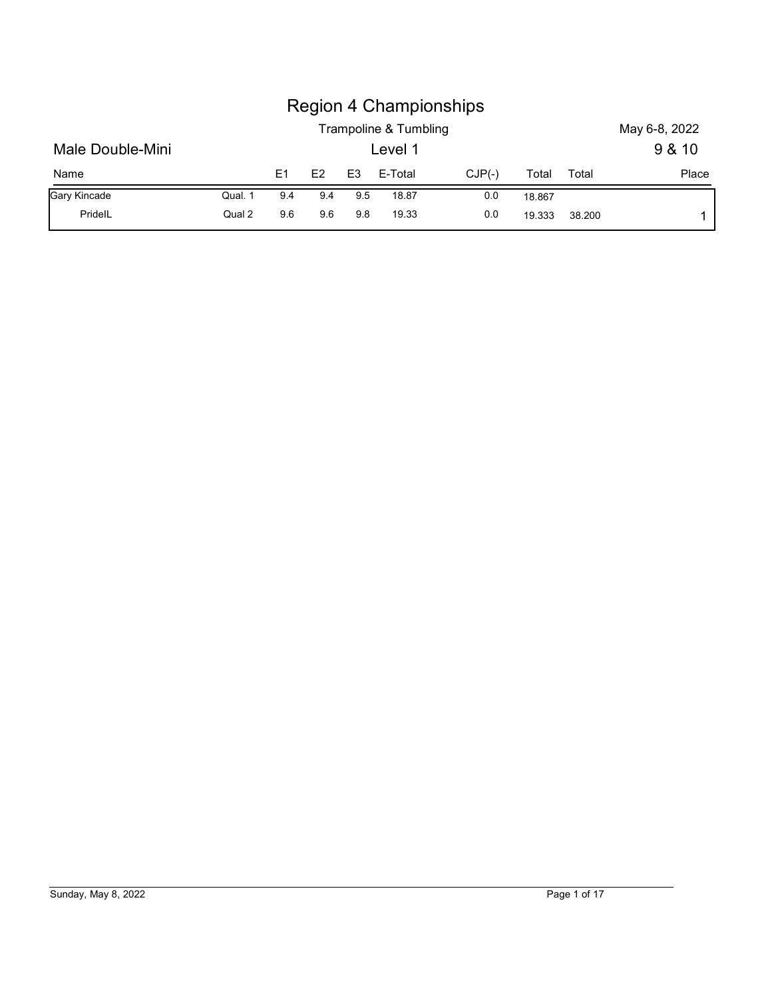|                  |         |     |     |                |                                  | <b>Region 4 Championships</b> |        |       |                         |
|------------------|---------|-----|-----|----------------|----------------------------------|-------------------------------|--------|-------|-------------------------|
| Male Double-Mini |         |     |     |                | Trampoline & Tumbling<br>Level 1 |                               |        |       | May 6-8, 2022<br>9 & 10 |
| Name             |         | E1  | E2  | E <sub>3</sub> | E-Total                          | $CJP(-)$                      | Total  | Total | Place                   |
| Gary Kincade     | Qual. 1 | 9.4 | 9.4 | 9.5            | 18.87                            | 0.0                           | 18.867 |       |                         |

# Sunday, May 8, 2022 Page 1 of 17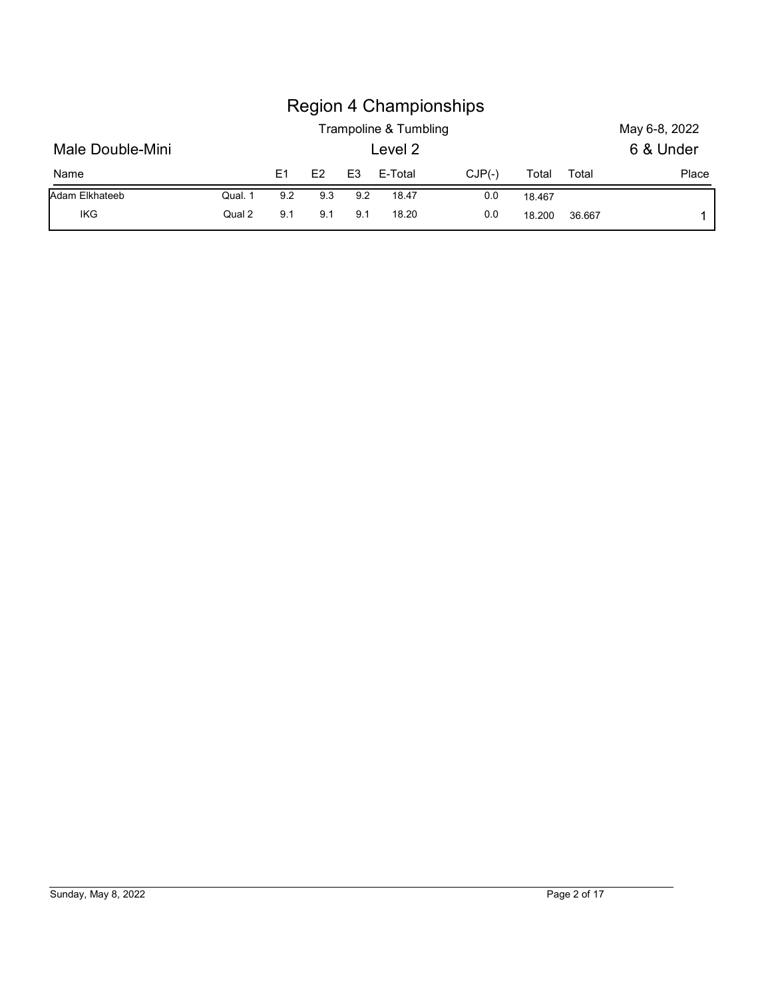|                  |         |                |     |                | <b>Region 4 Championships</b><br>Trampoline & Tumbling |          |        |       | May 6-8, 2022 |
|------------------|---------|----------------|-----|----------------|--------------------------------------------------------|----------|--------|-------|---------------|
| Male Double-Mini |         |                |     |                | Level 2                                                |          |        |       | 6 & Under     |
| Name             |         | E <sub>1</sub> | E2  | E <sub>3</sub> | E-Total                                                | $CJP(-)$ | Total  | Total | Place         |
| Adam Elkhateeb   | Qual. 1 | 9.2            | 9.3 | 9.2            | 18.47                                                  | 0.0      | 18.467 |       |               |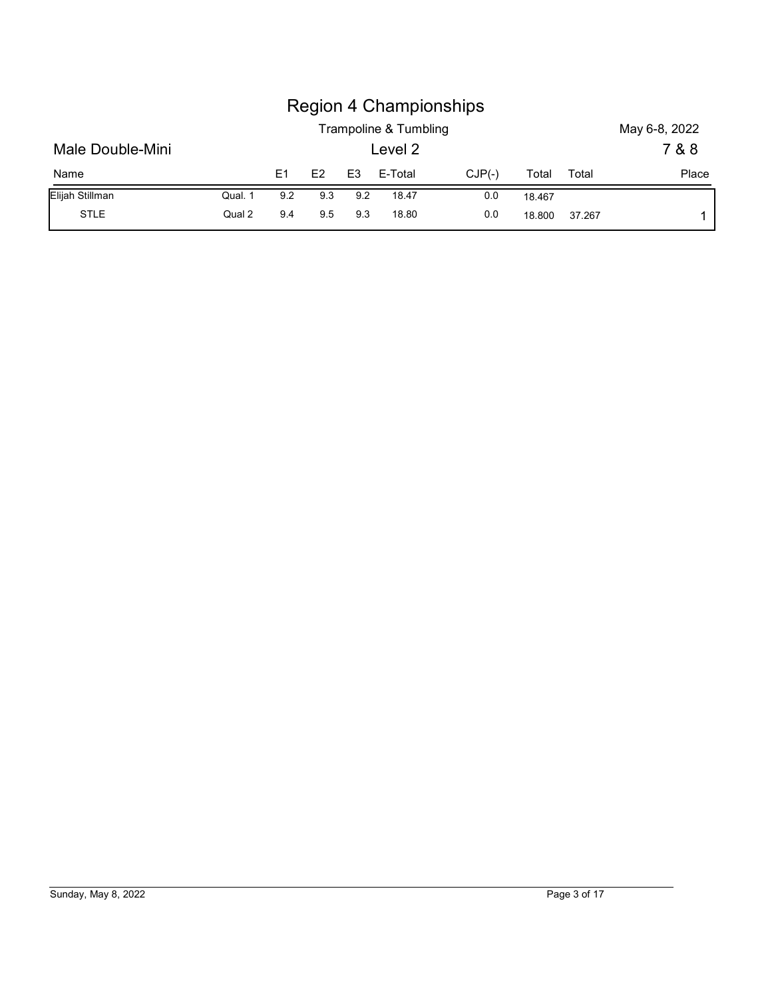|                  |         |                |     |                | <b>Region 4 Championships</b><br>Trampoline & Tumbling |          |        |       | May 6-8, 2022 |
|------------------|---------|----------------|-----|----------------|--------------------------------------------------------|----------|--------|-------|---------------|
| Male Double-Mini |         |                |     |                | Level 2                                                |          |        |       | 7 & 8         |
| Name             |         | E <sub>1</sub> | E2  | E <sub>3</sub> | E-Total                                                | $CJP(-)$ | Total  | Total | Place         |
| Elijah Stillman  | Qual. 1 | 9.2            | 9.3 | 9.2            | 18.47                                                  | 0.0      | 18.467 |       |               |

# Sunday, May 8, 2022 Page 3 of 17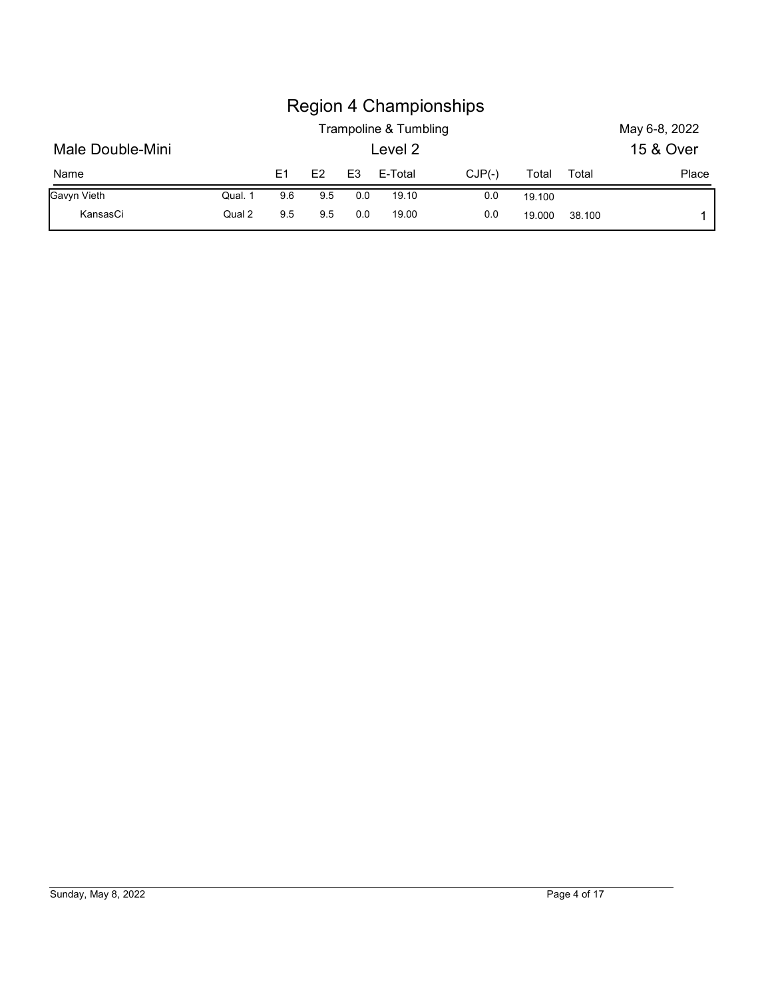|                  |         |                |     |                | Trampoline & Tumbling | <b>Region 4 Championships</b> |        |       | May 6-8, 2022 |
|------------------|---------|----------------|-----|----------------|-----------------------|-------------------------------|--------|-------|---------------|
| Male Double-Mini |         |                |     |                | Level 2               |                               |        |       | 15 & Over     |
| Name             |         | E <sub>1</sub> | E2  | E <sub>3</sub> | E-Total               | $CJP(-)$                      | Total  | Total | Place         |
| Gavyn Vieth      | Qual. 1 | 9.6            | 9.5 | 0.0            | 19.10                 | 0.0                           | 19.100 |       |               |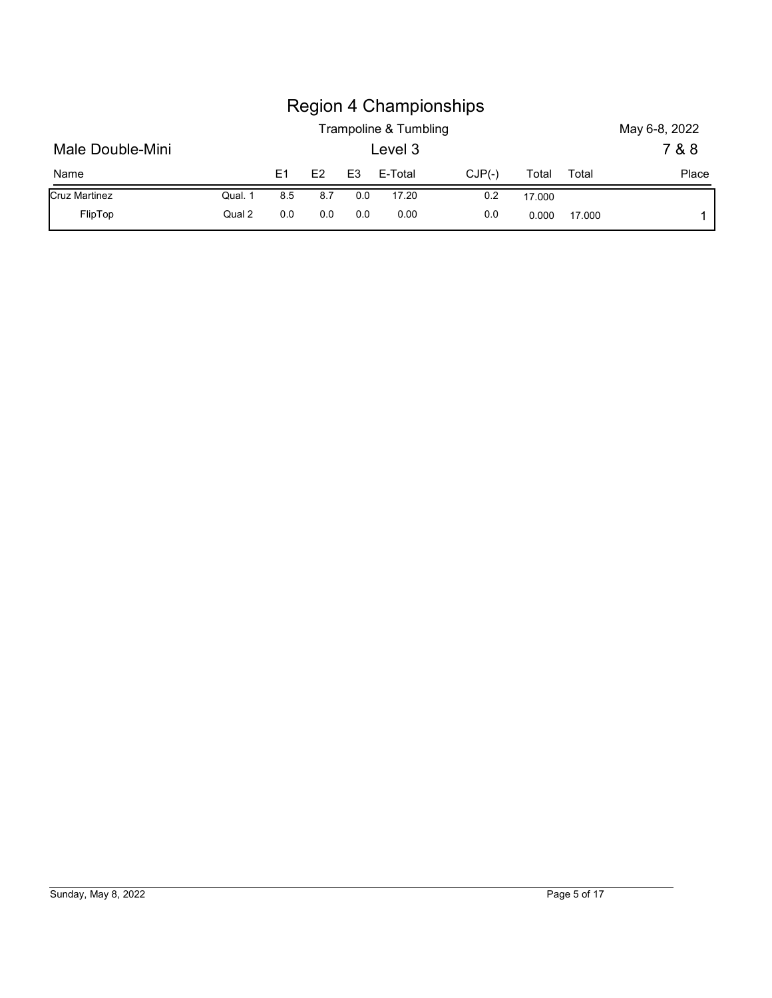|                      |         |                |     |                | <b>Region 4 Championships</b><br>Trampoline & Tumbling |          |        |       |                        |
|----------------------|---------|----------------|-----|----------------|--------------------------------------------------------|----------|--------|-------|------------------------|
| Male Double-Mini     |         |                |     |                | Level 3                                                |          |        |       | May 6-8, 2022<br>7 & 8 |
| Name                 |         | E <sub>1</sub> | E2  | E <sub>3</sub> | E-Total                                                | $CJP(-)$ | Total  | Total | Place                  |
| <b>Cruz Martinez</b> | Qual. 1 | 8.5            | 8.7 | 0.0            | 17.20                                                  | 0.2      | 17.000 |       |                        |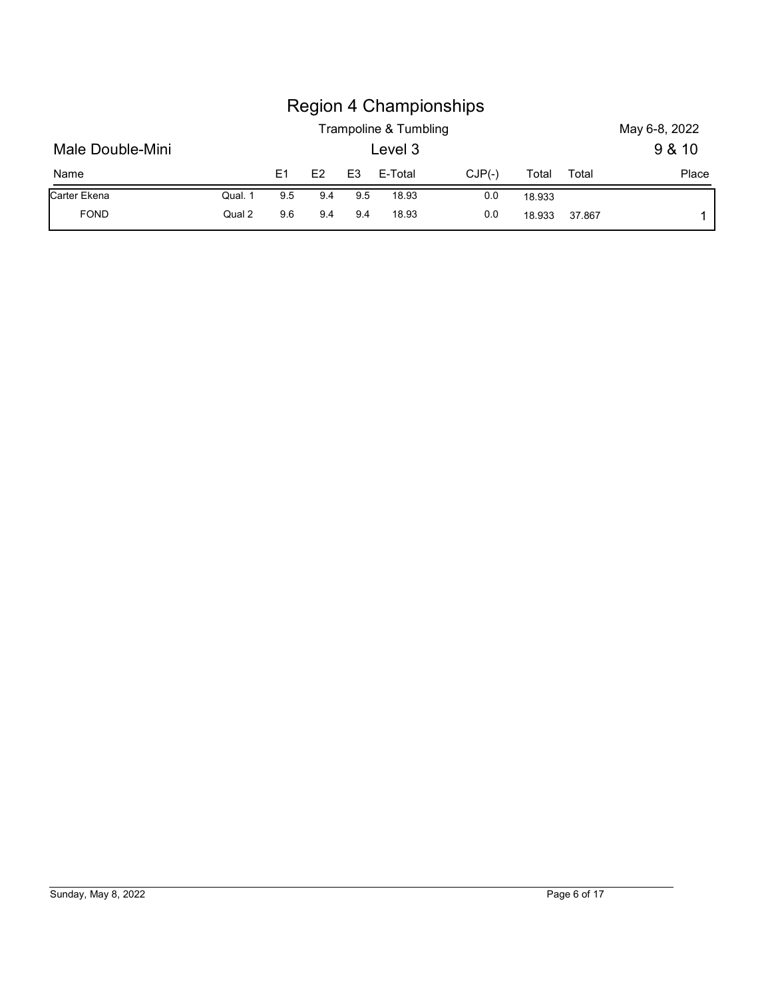|                  |         |     |     |                |                                  | <b>Region 4 Championships</b> |        |       |                         |
|------------------|---------|-----|-----|----------------|----------------------------------|-------------------------------|--------|-------|-------------------------|
| Male Double-Mini |         |     |     |                | Trampoline & Tumbling<br>Level 3 |                               |        |       | May 6-8, 2022<br>9 & 10 |
| Name             |         | E1  | E2  | E <sub>3</sub> | E-Total                          | $CJP(-)$                      | Total  | Total | Place                   |
| Carter Ekena     | Qual. 1 | 9.5 | 9.4 | 9.5            | 18.93                            | 0.0                           | 18.933 |       |                         |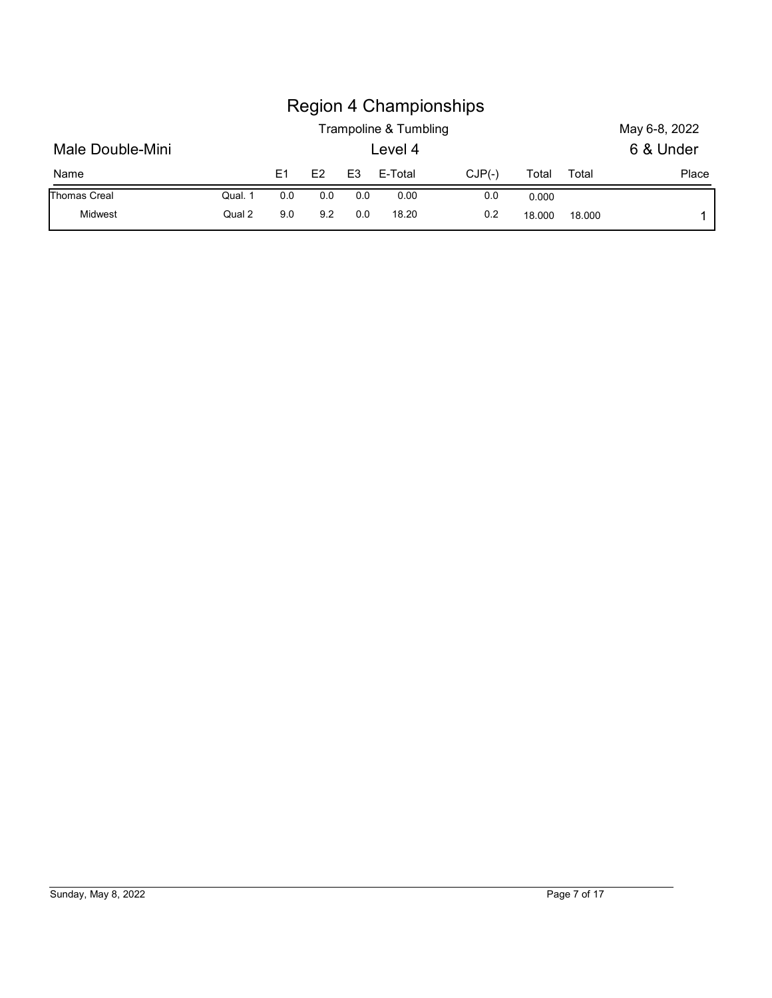|                  |         |                |     |                | <b>Region 4 Championships</b> |          |       |       |               |
|------------------|---------|----------------|-----|----------------|-------------------------------|----------|-------|-------|---------------|
|                  |         |                |     |                | Trampoline & Tumbling         |          |       |       | May 6-8, 2022 |
| Male Double-Mini |         |                |     |                | Level 4                       |          |       |       | 6 & Under     |
| Name             |         | E <sub>1</sub> | E2  | E <sub>3</sub> | E-Total                       | $CJP(-)$ | Total | Total | Place         |
| Thomas Creal     | Qual. 1 | 0.0            | 0.0 | 0.0            | 0.00                          | 0.0      | 0.000 |       |               |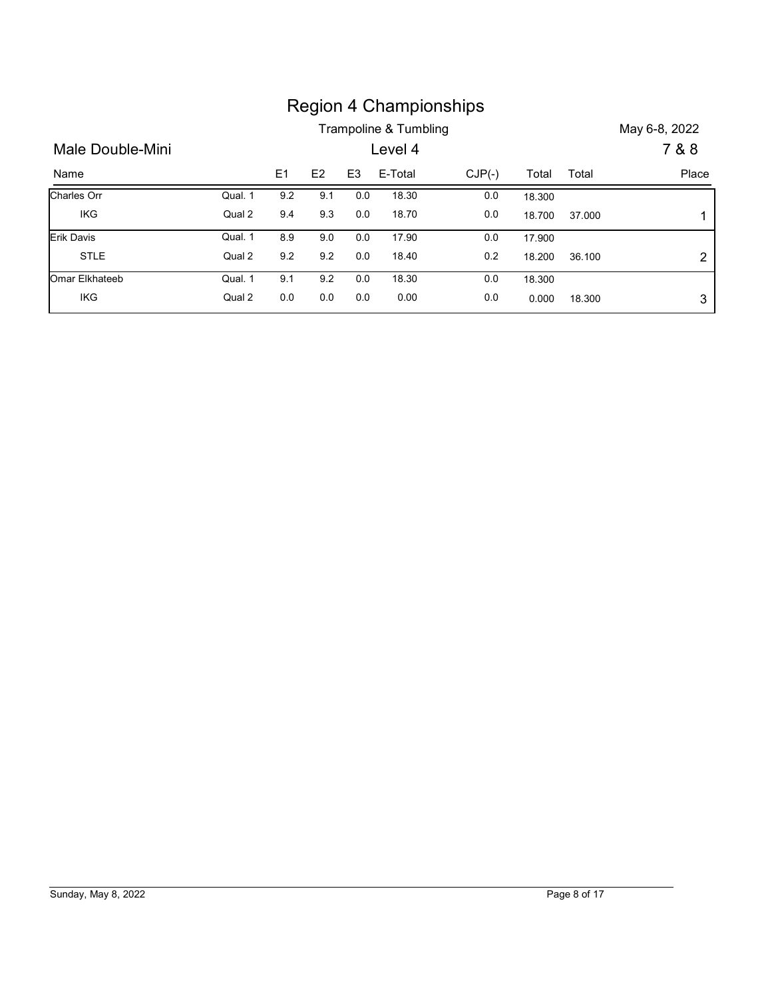|                  |         |                |         |                | Trampoline & Tumbling | <b>Region 4 Championships</b> |        |        | May 6-8, 2022  |
|------------------|---------|----------------|---------|----------------|-----------------------|-------------------------------|--------|--------|----------------|
| Male Double-Mini |         |                |         |                | Level 4               |                               |        |        | 7 & 8          |
| Name             |         | E <sub>1</sub> | E2      | E <sub>3</sub> | E-Total               | $CJP(-)$                      | Total  | Total  | Place          |
| Charles Orr      | Qual. 1 | 9.2            | 9.1     | 0.0            | 18.30                 | 0.0                           | 18.300 |        |                |
| IKG              | Qual 2  | 9.4            | 9.3     | 0.0            | 18.70                 | 0.0                           | 18.700 | 37.000 | 1              |
| Erik Davis       | Qual. 1 | 8.9            | 9.0     | $0.0\,$        | 17.90                 | 0.0                           | 17.900 |        |                |
| <b>STLE</b>      | Qual 2  | 9.2            | $9.2\,$ | 0.0            | 18.40                 | $0.2\,$                       | 18.200 | 36.100 | $\overline{c}$ |
| Omar Elkhateeb   | Qual. 1 | 9.1            | 9.2     | 0.0            | 18.30                 | 0.0                           | 18.300 |        |                |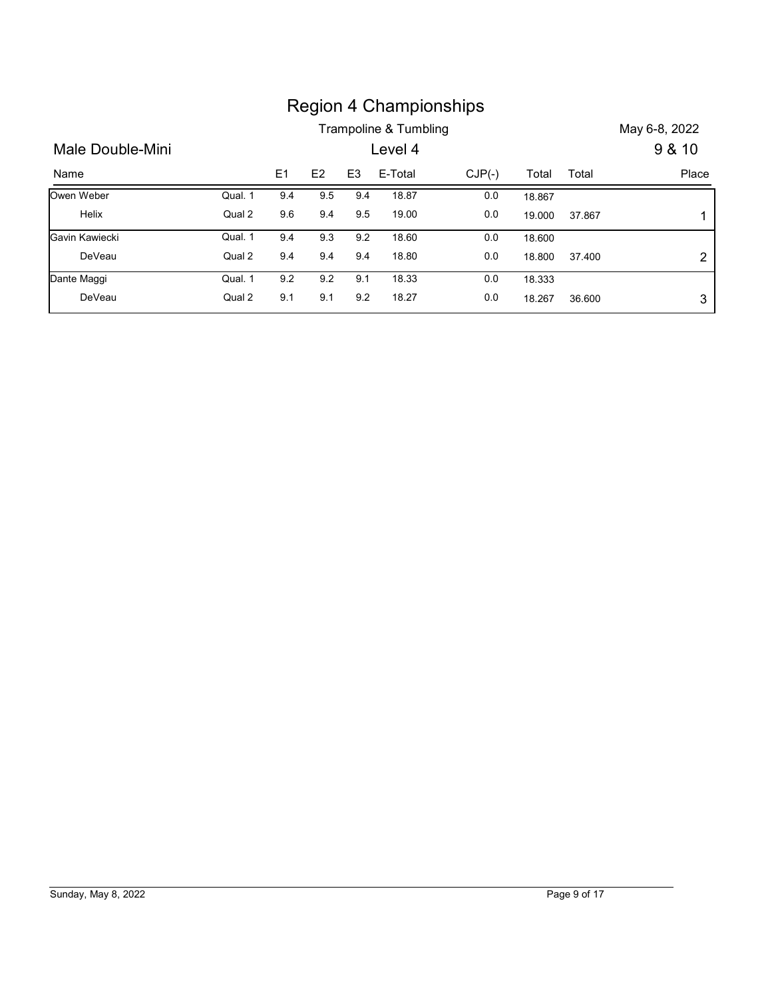|                  |         |     |     |                |                       | <b>Region 4 Championships</b> |        |        |                  |
|------------------|---------|-----|-----|----------------|-----------------------|-------------------------------|--------|--------|------------------|
|                  |         |     |     |                | Trampoline & Tumbling |                               |        |        | May 6-8, 2022    |
| Male Double-Mini |         |     |     |                | Level 4               |                               |        |        | 9 & 10           |
| Name             |         | E1  | E2  | E <sub>3</sub> | E-Total               | $CJP(-)$                      | Total  | Total  | Place            |
| Owen Weber       | Qual. 1 | 9.4 | 9.5 | 9.4            | 18.87                 | 0.0                           | 18.867 |        |                  |
| Helix            | Qual 2  | 9.6 | 9.4 | 9.5            | 19.00                 | 0.0                           | 19.000 | 37.867 | 1                |
| Gavin Kawiecki   | Qual. 1 | 9.4 | 9.3 | 9.2            | 18.60                 | 0.0                           | 18.600 |        |                  |
| DeVeau           | Qual 2  | 9.4 | 9.4 | 9.4            | 18.80                 | 0.0                           | 18.800 | 37.400 | $\boldsymbol{2}$ |
| Dante Maggi      | Qual. 1 | 9.2 | 9.2 | 9.1            | 18.33                 | $0.0\,$                       | 18.333 |        |                  |
| DeVeau           | Qual 2  | 9.1 | 9.1 | 9.2            | 18.27                 | 0.0                           | 18.267 | 36.600 | 3                |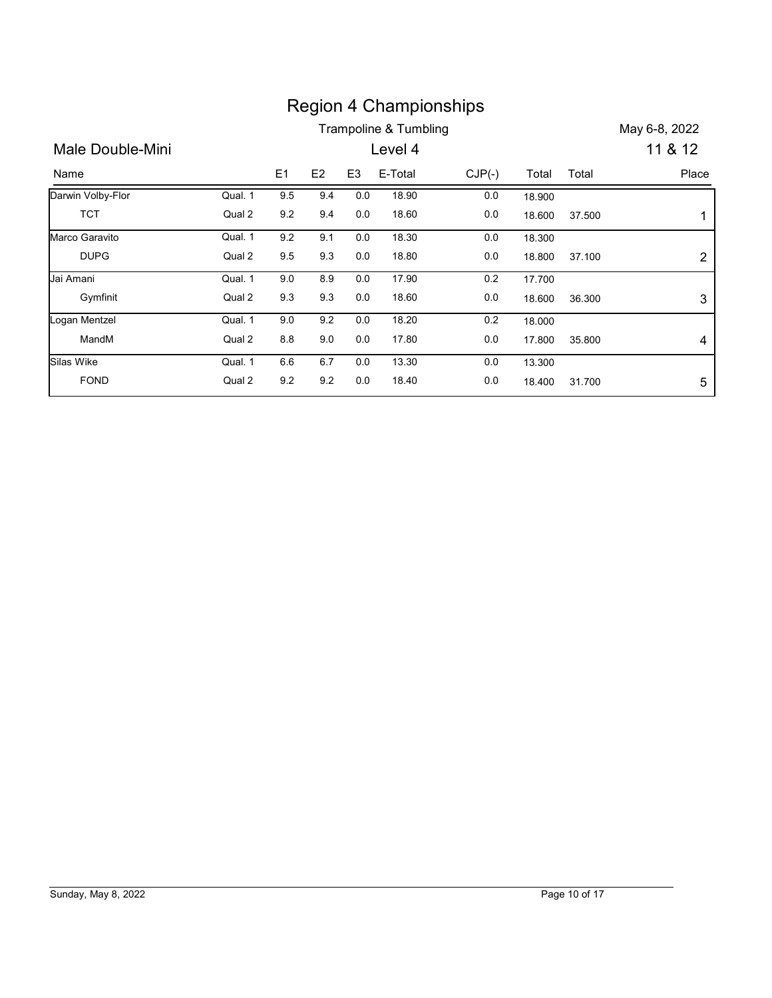|                   |         |         |     |                |                       | <b>Region 4 Championships</b> |        |        |                     |
|-------------------|---------|---------|-----|----------------|-----------------------|-------------------------------|--------|--------|---------------------|
|                   |         |         |     |                | Trampoline & Tumbling |                               |        |        | May 6-8, 2022       |
| Male Double-Mini  |         |         |     |                | Level 4               |                               |        |        | 11 & 12             |
| Name              |         |         | E2  | E <sub>3</sub> | E-Total               | $CJP(-)$                      | Total  |        |                     |
|                   |         | E1      |     |                |                       |                               |        | Total  |                     |
| Darwin Volby-Flor | Qual. 1 | 9.5     | 9.4 | 0.0            | 18.90                 | 0.0                           | 18.900 |        |                     |
| <b>TCT</b>        | Qual 2  | $9.2\,$ | 9.4 | $0.0\,$        | 18.60                 | 0.0                           | 18.600 | 37.500 | 1                   |
| Marco Garavito    | Qual. 1 | 9.2     | 9.1 | 0.0            | 18.30                 | 0.0                           | 18.300 |        |                     |
| <b>DUPG</b>       | Qual 2  | 9.5     | 9.3 | 0.0            | 18.80                 | 0.0                           | 18.800 | 37.100 |                     |
| Jai Amani         | Qual. 1 | 9.0     | 8.9 | 0.0            | 17.90                 | 0.2                           | 17.700 |        |                     |
| Gymfinit          | Qual 2  | 9.3     | 9.3 | 0.0            | 18.60                 | 0.0                           | 18.600 | 36.300 |                     |
| Logan Mentzel     | Qual. 1 | 9.0     | 9.2 | 0.0            | 18.20                 | 0.2                           | 18.000 |        | $\overline{2}$<br>3 |
| MandM             | Qual 2  | 8.8     | 9.0 | 0.0            | 17.80                 | 0.0                           | 17.800 | 35.800 | 4                   |
| Silas Wike        | Qual. 1 | 6.6     | 6.7 | 0.0            | 13.30                 | 0.0                           | 13.300 |        | Place               |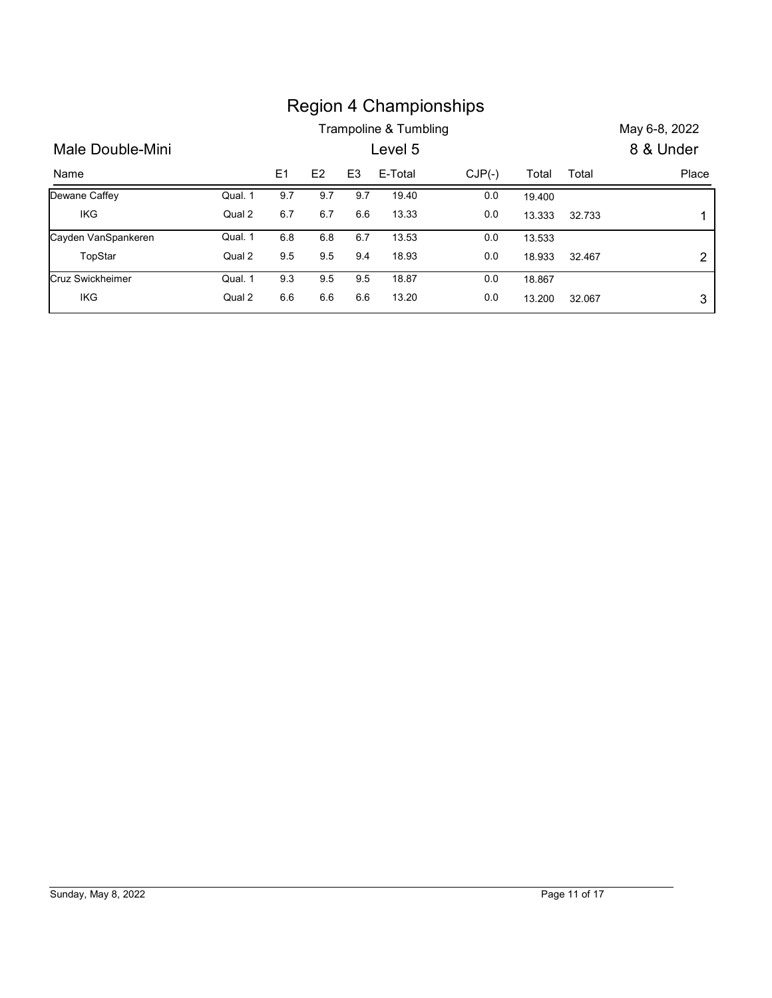|                     |         |         |                |                |                                  | <b>Region 4 Championships</b> |        |        |                            |
|---------------------|---------|---------|----------------|----------------|----------------------------------|-------------------------------|--------|--------|----------------------------|
| Male Double-Mini    |         |         |                |                | Trampoline & Tumbling<br>Level 5 |                               |        |        | May 6-8, 2022<br>8 & Under |
| Name                |         | E1      | E <sub>2</sub> | E <sub>3</sub> | E-Total                          | $CJP(-)$                      | Total  | Total  | Place                      |
| Dewane Caffey       | Qual. 1 | 9.7     | 9.7            | 9.7            | 19.40                            | $0.0\,$                       | 19.400 |        |                            |
| <b>IKG</b>          | Qual 2  | 6.7     | 6.7            | 6.6            | 13.33                            | 0.0                           | 13.333 | 32.733 | 1                          |
| Cayden VanSpankeren | Qual. 1 | 6.8     | $6.8\,$        | $6.7\,$        | 13.53                            | $0.0\,$                       | 13.533 |        |                            |
| TopStar             | Qual 2  | $9.5\,$ | 9.5            | 9.4            | 18.93                            | 0.0                           | 18.933 | 32.467 | $\overline{2}$             |
| Cruz Swickheimer    | Qual. 1 | 9.3     | 9.5            | 9.5            | 18.87                            | 0.0                           | 18.867 |        |                            |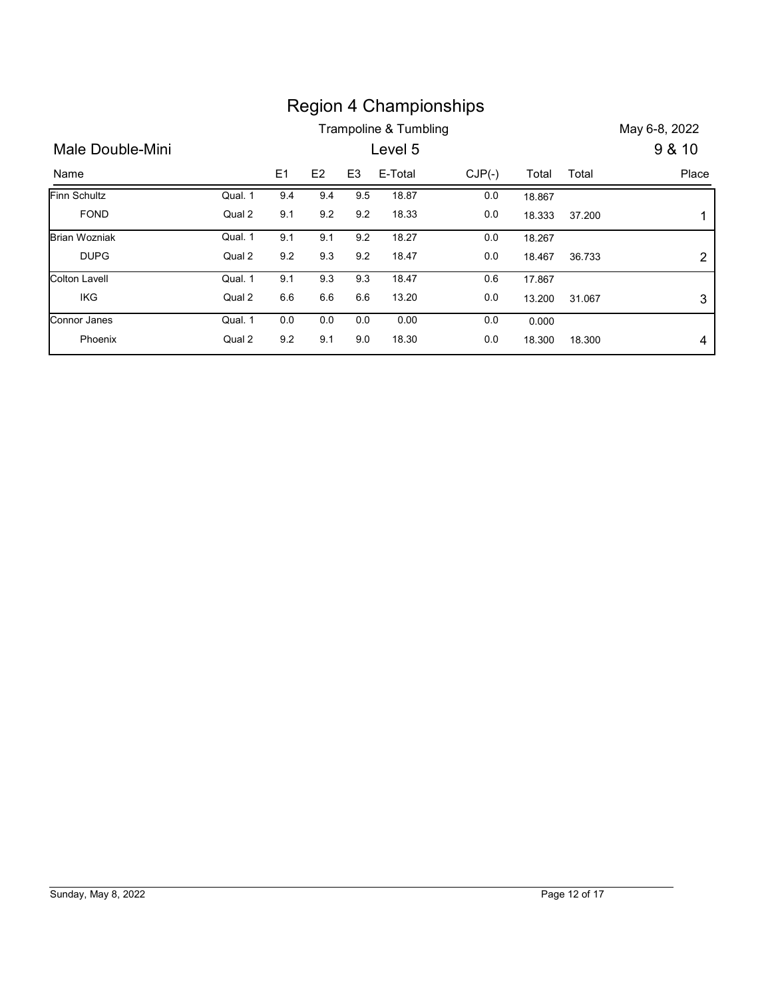|                      |         |                |         |                | <b>Region 4 Championships</b>    |          |        |        |                           |
|----------------------|---------|----------------|---------|----------------|----------------------------------|----------|--------|--------|---------------------------|
|                      |         |                |         |                |                                  |          |        |        |                           |
|                      |         |                |         |                |                                  |          |        |        |                           |
| Male Double-Mini     |         |                |         |                | Trampoline & Tumbling<br>Level 5 |          |        |        | May 6-8, 2022<br>9 & 10   |
| Name                 |         | E <sub>1</sub> | E2      | E <sub>3</sub> | E-Total                          | $CJP(-)$ | Total  | Total  | Place                     |
| Finn Schultz         | Qual. 1 | 9.4            | 9.4     | 9.5            | 18.87                            | $0.0\,$  | 18.867 |        |                           |
| <b>FOND</b>          | Qual 2  | 9.1            | $9.2\,$ | 9.2            | 18.33                            | $0.0\,$  | 18.333 | 37.200 | $\mathbf{1}$              |
| <b>Brian Wozniak</b> | Qual. 1 | 9.1            | 9.1     | 9.2            | 18.27                            | $0.0\,$  | 18.267 |        |                           |
| <b>DUPG</b>          | Qual 2  | 9.2            | 9.3     | 9.2            | 18.47                            | 0.0      | 18.467 | 36.733 | $\overline{\mathbf{c}}$   |
| <b>Colton Lavell</b> | Qual. 1 | 9.1            | 9.3     | 9.3            | 18.47                            | 0.6      | 17.867 |        |                           |
| IKG                  | Qual 2  | 6.6            | 6.6     | 6.6            | 13.20                            | $0.0\,$  | 13.200 | 31.067 | $\ensuremath{\mathsf{3}}$ |
| Connor Janes         | Qual. 1 | 0.0            | 0.0     | 0.0            | 0.00                             | 0.0      | 0.000  |        |                           |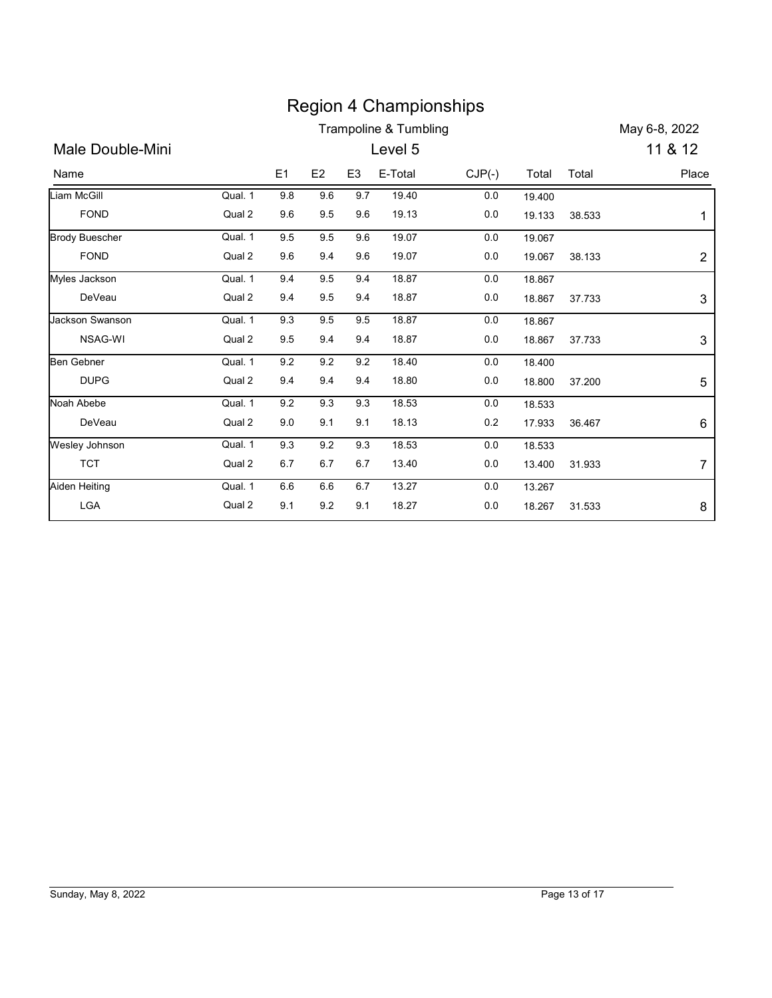|                       |         |         |                |                | <b>Region 4 Championships</b> |          |        |        |                  |
|-----------------------|---------|---------|----------------|----------------|-------------------------------|----------|--------|--------|------------------|
|                       |         |         |                |                | Trampoline & Tumbling         |          |        |        | May 6-8, 2022    |
| Male Double-Mini      |         |         |                |                | Level 5                       |          |        |        | 11 & 12          |
| Name                  |         | E1      | E <sub>2</sub> | E <sub>3</sub> | E-Total                       | $CJP(-)$ | Total  | Total  | Place            |
| Liam McGill           | Qual. 1 | 9.8     | 9.6            | 9.7            | 19.40                         | 0.0      | 19.400 |        |                  |
| <b>FOND</b>           | Qual 2  | 9.6     | 9.5            | 9.6            | 19.13                         | 0.0      | 19.133 | 38.533 | 1                |
| <b>Brody Buescher</b> | Qual. 1 | 9.5     | 9.5            | 9.6            | 19.07                         | 0.0      | 19.067 |        |                  |
| <b>FOND</b>           | Qual 2  | 9.6     | 9.4            | 9.6            | 19.07                         | 0.0      | 19.067 | 38.133 | $\overline{2}$   |
| Myles Jackson         | Qual. 1 | 9.4     | 9.5            | 9.4            | 18.87                         | 0.0      | 18.867 |        |                  |
| DeVeau                | Qual 2  | 9.4     | 9.5            | 9.4            | 18.87                         | 0.0      | 18.867 | 37.733 | $\mathfrak{S}$   |
| Jackson Swanson       | Qual. 1 | 9.3     | 9.5            | 9.5            | 18.87                         | 0.0      | 18.867 |        |                  |
| NSAG-WI               | Qual 2  | 9.5     | 9.4            | 9.4            | 18.87                         | 0.0      | 18.867 | 37.733 | 3                |
| <b>Ben Gebner</b>     | Qual. 1 | 9.2     | 9.2            | 9.2            | 18.40                         | 0.0      | 18.400 |        |                  |
| <b>DUPG</b>           | Qual 2  | 9.4     | 9.4            | 9.4            | 18.80                         | $0.0\,$  | 18.800 | 37.200 | 5                |
| Noah Abebe            | Qual. 1 | 9.2     | 9.3            | 9.3            | 18.53                         | 0.0      | 18.533 |        |                  |
| DeVeau                | Qual 2  | $9.0\,$ | 9.1            | 9.1            | 18.13                         | 0.2      | 17.933 | 36.467 | 6                |
| Wesley Johnson        | Qual. 1 | 9.3     | 9.2            | 9.3            | 18.53                         | $0.0\,$  | 18.533 |        |                  |
| <b>TCT</b>            | Qual 2  | $6.7\,$ | $6.7\,$        | $6.7\,$        | 13.40                         | 0.0      | 13.400 | 31.933 | $\boldsymbol{7}$ |
|                       | Qual. 1 | $6.6\,$ | $6.6\,$        | $6.7\,$        | 13.27                         | 0.0      | 13.267 |        |                  |
| Aiden Heiting         | Qual 2  | 9.1     | 9.2            | 9.1            | 18.27                         | 0.0      | 18.267 | 31.533 | 8                |

## Region 4 Championships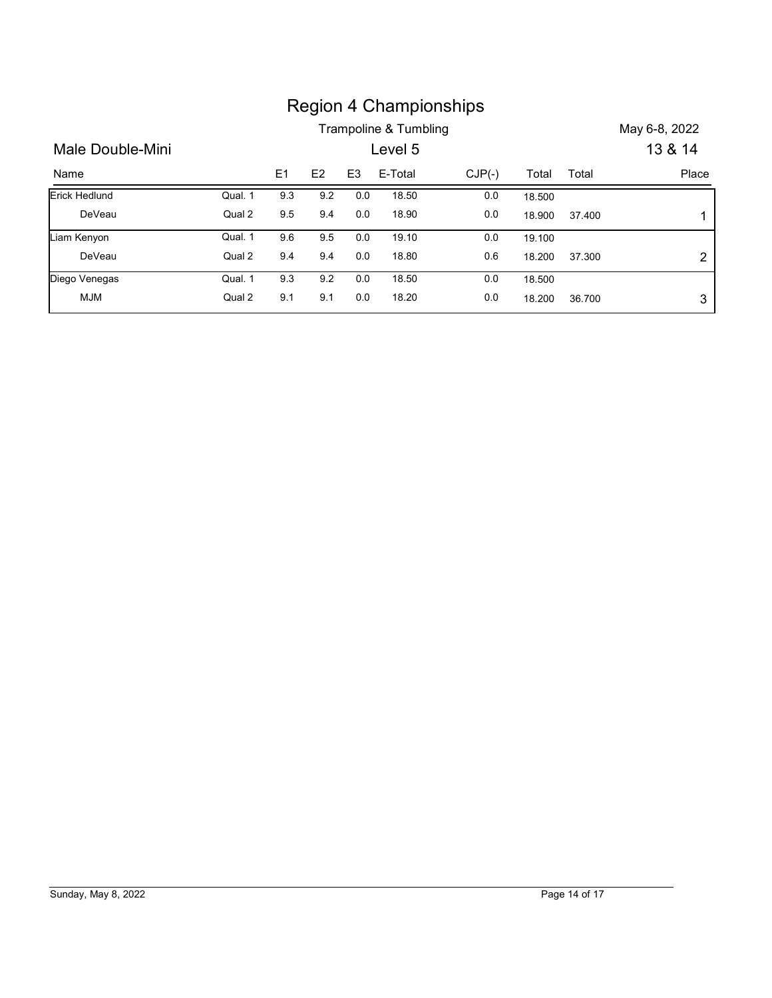|                  |         |         |         |                |                       | <b>Region 4 Championships</b> |        |        |                |
|------------------|---------|---------|---------|----------------|-----------------------|-------------------------------|--------|--------|----------------|
|                  |         |         |         |                | Trampoline & Tumbling |                               |        |        | May 6-8, 2022  |
| Male Double-Mini |         |         |         |                | Level 5               |                               |        |        | 13 & 14        |
| Name             |         | E1      | E2      | E <sub>3</sub> | E-Total               | $CJP(-)$                      | Total  | Total  | Place          |
| Erick Hedlund    | Qual. 1 | 9.3     | 9.2     | 0.0            | 18.50                 | 0.0                           | 18.500 |        |                |
| DeVeau           | Qual 2  | $9.5\,$ | 9.4     | 0.0            | 18.90                 | $0.0\,$                       | 18.900 | 37.400 | 1              |
| Liam Kenyon      | Qual. 1 | 9.6     | 9.5     | 0.0            | 19.10                 | 0.0                           | 19.100 |        |                |
| DeVeau           | Qual 2  | 9.4     | 9.4     | $0.0\,$        | 18.80                 | 0.6                           | 18.200 | 37.300 | $\overline{c}$ |
| Diego Venegas    | Qual. 1 | $9.3\,$ | $9.2\,$ | 0.0            | 18.50                 | $0.0\,$                       | 18.500 |        |                |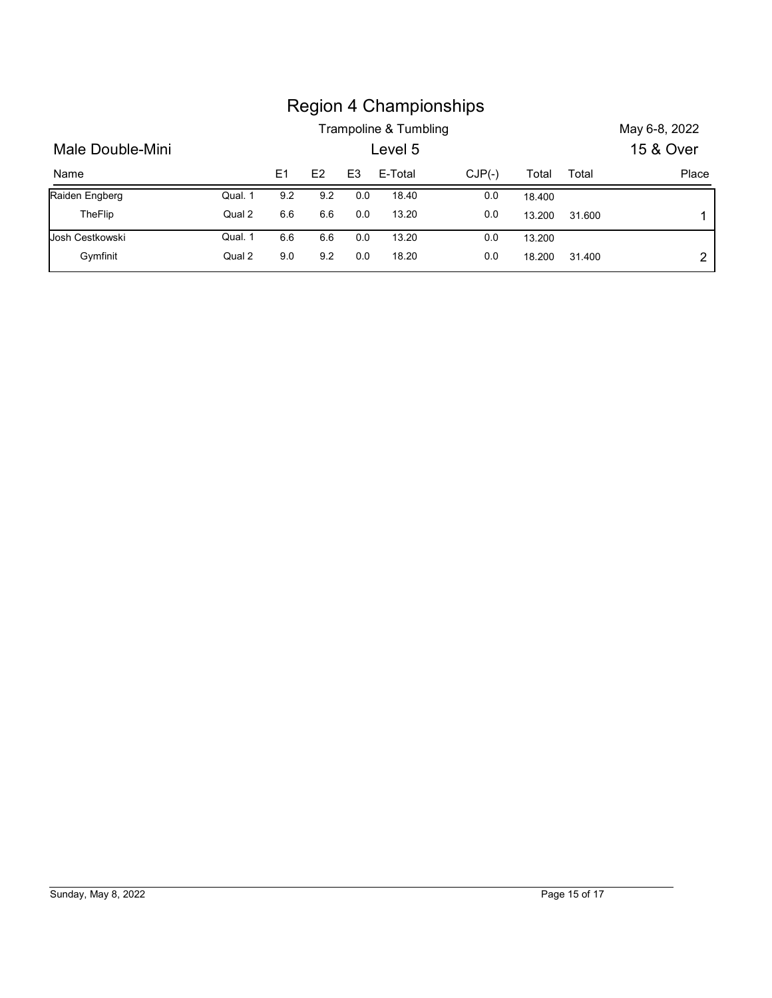|                  |         |                |                |                |                       | <b>Region 4 Championships</b> |        |        |               |
|------------------|---------|----------------|----------------|----------------|-----------------------|-------------------------------|--------|--------|---------------|
|                  |         |                |                |                | Trampoline & Tumbling |                               |        |        | May 6-8, 2022 |
| Male Double-Mini |         |                |                |                | Level 5               |                               |        |        | 15 & Over     |
| Name             |         | E <sub>1</sub> | E <sub>2</sub> | E <sub>3</sub> | E-Total               | $CJP(-)$                      | Total  | Total  |               |
| Raiden Engberg   | Qual. 1 | 9.2            | 9.2            | $0.0\,$        | 18.40                 | 0.0                           | 18.400 |        |               |
| TheFlip          | Qual 2  | 6.6            | 6.6            | 0.0            | 13.20                 | 0.0                           | 13.200 | 31.600 | Place<br>1    |
| Josh Cestkowski  | Qual. 1 | 6.6            | 6.6            | 0.0            | 13.20                 | 0.0                           | 13.200 |        |               |

### Region 4 Championships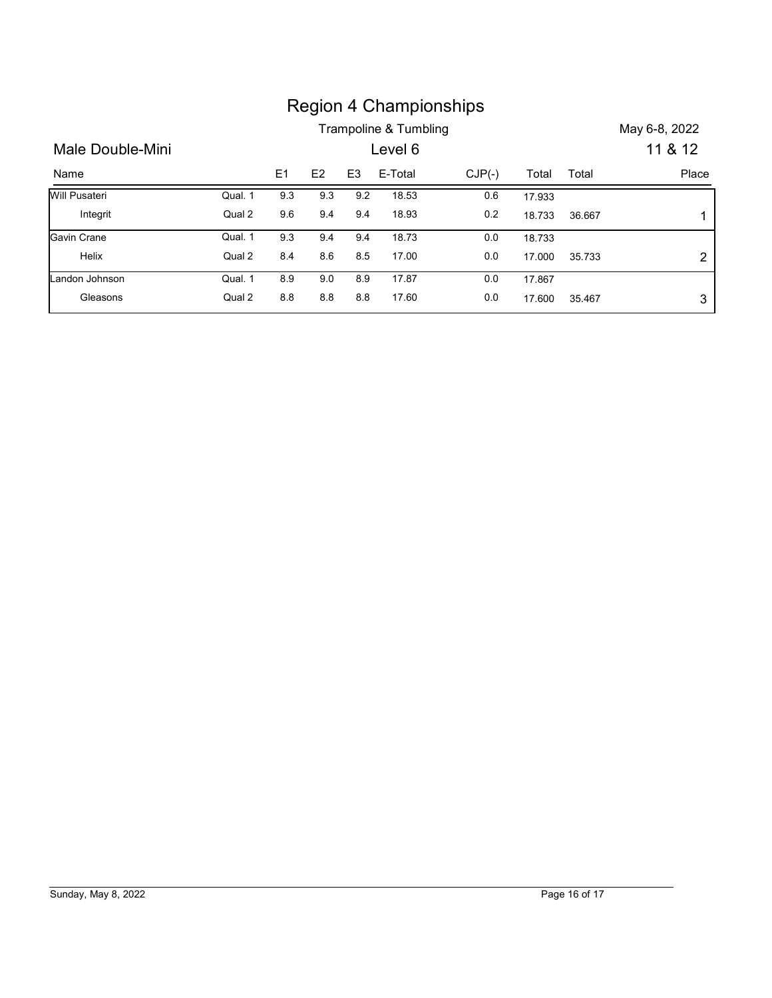|                  |         |                |                |                |                       | <b>Region 4 Championships</b> |        |        |                |
|------------------|---------|----------------|----------------|----------------|-----------------------|-------------------------------|--------|--------|----------------|
|                  |         |                |                |                | Trampoline & Tumbling |                               |        |        | May 6-8, 2022  |
| Male Double-Mini |         |                |                |                | Level 6               |                               |        |        | 11 & 12        |
| Name             |         | E <sub>1</sub> | E <sub>2</sub> | E <sub>3</sub> | E-Total               | $CJP(-)$                      | Total  | Total  | Place          |
| Will Pusateri    | Qual. 1 | 9.3            | 9.3            | 9.2            | 18.53                 | 0.6                           | 17.933 |        |                |
| Integrit         | Qual 2  | $9.6\,$        | 9.4            | 9.4            | 18.93                 | 0.2                           | 18.733 | 36.667 | 1              |
| Gavin Crane      | Qual. 1 | 9.3            | 9.4            | 9.4            | 18.73                 | $0.0\,$                       | 18.733 |        |                |
| Helix            | Qual 2  | 8.4            | 8.6            | 8.5            | 17.00                 | $0.0\,$                       | 17.000 | 35.733 | $\overline{2}$ |
| Landon Johnson   | Qual. 1 | 8.9            | $9.0\,$        | 8.9            | 17.87                 | $0.0\,$                       | 17.867 |        |                |